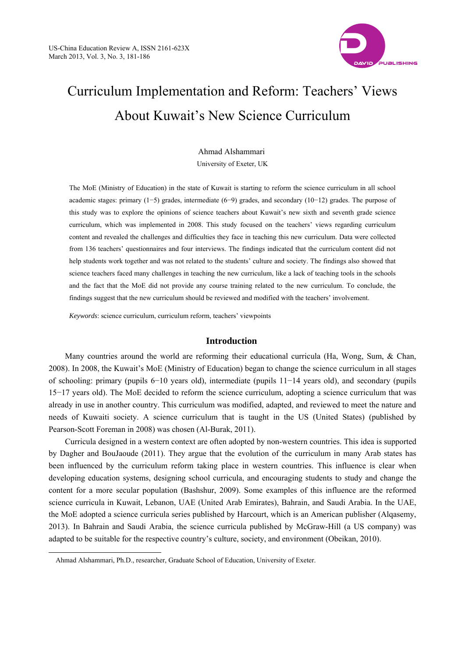

# Curriculum Implementation and Reform: Teachers' Views About Kuwait's New Science Curriculum

Ahmad Alshammari University of Exeter, UK

The MoE (Ministry of Education) in the state of Kuwait is starting to reform the science curriculum in all school academic stages: primary (1−5) grades, intermediate (6−9) grades, and secondary (10−12) grades. The purpose of this study was to explore the opinions of science teachers about Kuwait's new sixth and seventh grade science curriculum, which was implemented in 2008. This study focused on the teachers' views regarding curriculum content and revealed the challenges and difficulties they face in teaching this new curriculum. Data were collected from 136 teachers' questionnaires and four interviews. The findings indicated that the curriculum content did not help students work together and was not related to the students' culture and society. The findings also showed that science teachers faced many challenges in teaching the new curriculum, like a lack of teaching tools in the schools and the fact that the MoE did not provide any course training related to the new curriculum. To conclude, the findings suggest that the new curriculum should be reviewed and modified with the teachers' involvement.

*Keywords*: science curriculum, curriculum reform, teachers' viewpoints

# **Introduction**

Many countries around the world are reforming their educational curricula (Ha, Wong, Sum, & Chan, 2008). In 2008, the Kuwait's MoE (Ministry of Education) began to change the science curriculum in all stages of schooling: primary (pupils 6−10 years old), intermediate (pupils 11−14 years old), and secondary (pupils 15−17 years old). The MoE decided to reform the science curriculum, adopting a science curriculum that was already in use in another country. This curriculum was modified, adapted, and reviewed to meet the nature and needs of Kuwaiti society. A science curriculum that is taught in the US (United States) (published by Pearson-Scott Foreman in 2008) was chosen (Al-Burak, 2011).

Curricula designed in a western context are often adopted by non-western countries. This idea is supported by Dagher and BouJaoude (2011). They argue that the evolution of the curriculum in many Arab states has been influenced by the curriculum reform taking place in western countries. This influence is clear when developing education systems, designing school curricula, and encouraging students to study and change the content for a more secular population (Bashshur, 2009). Some examples of this influence are the reformed science curricula in Kuwait, Lebanon, UAE (United Arab Emirates), Bahrain, and Saudi Arabia. In the UAE, the MoE adopted a science curricula series published by Harcourt, which is an American publisher (Alqasemy, 2013). In Bahrain and Saudi Arabia, the science curricula published by McGraw-Hill (a US company) was adapted to be suitable for the respective country's culture, society, and environment (Obeikan, 2010).

 $\overline{a}$ 

Ahmad Alshammari, Ph.D., researcher, Graduate School of Education, University of Exeter.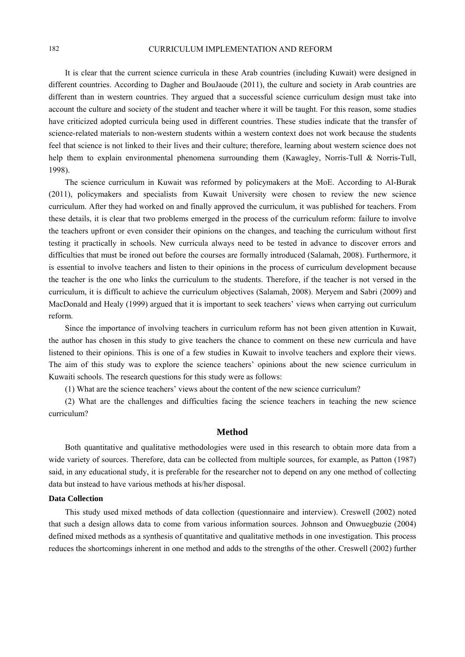It is clear that the current science curricula in these Arab countries (including Kuwait) were designed in different countries. According to Dagher and BouJaoude (2011), the culture and society in Arab countries are different than in western countries. They argued that a successful science curriculum design must take into account the culture and society of the student and teacher where it will be taught. For this reason, some studies have criticized adopted curricula being used in different countries. These studies indicate that the transfer of science-related materials to non-western students within a western context does not work because the students feel that science is not linked to their lives and their culture; therefore, learning about western science does not help them to explain environmental phenomena surrounding them (Kawagley, Norris-Tull & Norris-Tull, 1998).

The science curriculum in Kuwait was reformed by policymakers at the MoE. According to Al-Burak (2011), policymakers and specialists from Kuwait University were chosen to review the new science curriculum. After they had worked on and finally approved the curriculum, it was published for teachers. From these details, it is clear that two problems emerged in the process of the curriculum reform: failure to involve the teachers upfront or even consider their opinions on the changes, and teaching the curriculum without first testing it practically in schools. New curricula always need to be tested in advance to discover errors and difficulties that must be ironed out before the courses are formally introduced (Salamah, 2008). Furthermore, it is essential to involve teachers and listen to their opinions in the process of curriculum development because the teacher is the one who links the curriculum to the students. Therefore, if the teacher is not versed in the curriculum, it is difficult to achieve the curriculum objectives (Salamah, 2008). Meryem and Sabri (2009) and MacDonald and Healy (1999) argued that it is important to seek teachers' views when carrying out curriculum reform.

Since the importance of involving teachers in curriculum reform has not been given attention in Kuwait, the author has chosen in this study to give teachers the chance to comment on these new curricula and have listened to their opinions. This is one of a few studies in Kuwait to involve teachers and explore their views. The aim of this study was to explore the science teachers' opinions about the new science curriculum in Kuwaiti schools. The research questions for this study were as follows:

(1) What are the science teachers' views about the content of the new science curriculum?

(2) What are the challenges and difficulties facing the science teachers in teaching the new science curriculum?

# **Method**

Both quantitative and qualitative methodologies were used in this research to obtain more data from a wide variety of sources. Therefore, data can be collected from multiple sources, for example, as Patton (1987) said, in any educational study, it is preferable for the researcher not to depend on any one method of collecting data but instead to have various methods at his/her disposal.

#### **Data Collection**

This study used mixed methods of data collection (questionnaire and interview). Creswell (2002) noted that such a design allows data to come from various information sources. Johnson and Onwuegbuzie (2004) defined mixed methods as a synthesis of quantitative and qualitative methods in one investigation. This process reduces the shortcomings inherent in one method and adds to the strengths of the other. Creswell (2002) further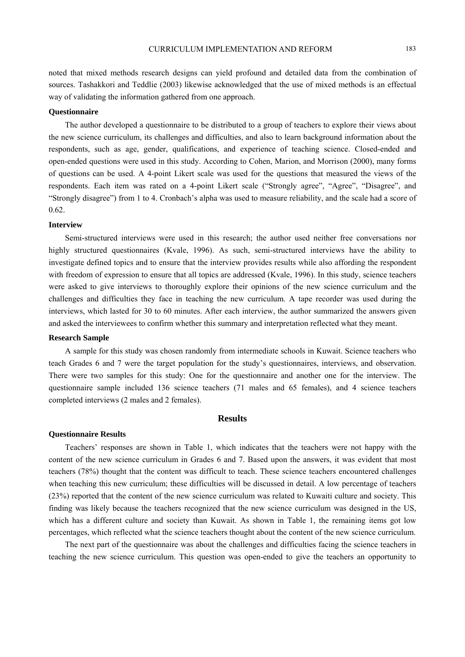noted that mixed methods research designs can yield profound and detailed data from the combination of sources. Tashakkori and Teddlie (2003) likewise acknowledged that the use of mixed methods is an effectual way of validating the information gathered from one approach.

#### **Questionnaire**

The author developed a questionnaire to be distributed to a group of teachers to explore their views about the new science curriculum, its challenges and difficulties, and also to learn background information about the respondents, such as age, gender, qualifications, and experience of teaching science. Closed-ended and open-ended questions were used in this study. According to Cohen, Marion, and Morrison (2000), many forms of questions can be used. A 4-point Likert scale was used for the questions that measured the views of the respondents. Each item was rated on a 4-point Likert scale ("Strongly agree", "Agree", "Disagree", and "Strongly disagree") from 1 to 4. Cronbach's alpha was used to measure reliability, and the scale had a score of 0.62.

#### **Interview**

Semi-structured interviews were used in this research; the author used neither free conversations nor highly structured questionnaires (Kvale, 1996). As such, semi-structured interviews have the ability to investigate defined topics and to ensure that the interview provides results while also affording the respondent with freedom of expression to ensure that all topics are addressed (Kvale, 1996). In this study, science teachers were asked to give interviews to thoroughly explore their opinions of the new science curriculum and the challenges and difficulties they face in teaching the new curriculum. A tape recorder was used during the interviews, which lasted for 30 to 60 minutes. After each interview, the author summarized the answers given and asked the interviewees to confirm whether this summary and interpretation reflected what they meant.

## **Research Sample**

A sample for this study was chosen randomly from intermediate schools in Kuwait. Science teachers who teach Grades 6 and 7 were the target population for the study's questionnaires, interviews, and observation. There were two samples for this study: One for the questionnaire and another one for the interview. The questionnaire sample included 136 science teachers (71 males and 65 females), and 4 science teachers completed interviews (2 males and 2 females).

#### **Results**

#### **Questionnaire Results**

Teachers' responses are shown in Table 1, which indicates that the teachers were not happy with the content of the new science curriculum in Grades 6 and 7. Based upon the answers, it was evident that most teachers (78%) thought that the content was difficult to teach. These science teachers encountered challenges when teaching this new curriculum; these difficulties will be discussed in detail. A low percentage of teachers (23%) reported that the content of the new science curriculum was related to Kuwaiti culture and society. This finding was likely because the teachers recognized that the new science curriculum was designed in the US, which has a different culture and society than Kuwait. As shown in Table 1, the remaining items got low percentages, which reflected what the science teachers thought about the content of the new science curriculum.

The next part of the questionnaire was about the challenges and difficulties facing the science teachers in teaching the new science curriculum. This question was open-ended to give the teachers an opportunity to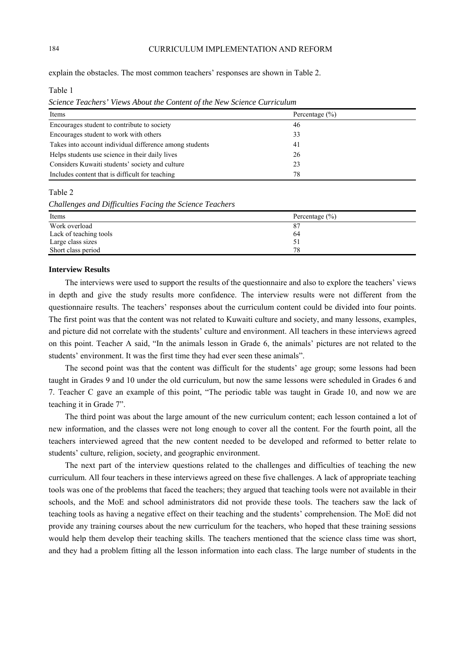explain the obstacles. The most common teachers' responses are shown in Table 2.

Table 1

*Science Teachers' Views About the Content of the New Science Curriculum* 

| Items                                                   | Percentage $(\% )$ |
|---------------------------------------------------------|--------------------|
| Encourages student to contribute to society             | 46                 |
| Encourages student to work with others                  | 33                 |
| Takes into account individual difference among students | 41                 |
| Helps students use science in their daily lives         | 26                 |
| Considers Kuwaiti students' society and culture         | 23                 |
| Includes content that is difficult for teaching         | 78                 |

Table 2

*Challenges and Difficulties Facing the Science Teachers* 

| Items                  | Percentage $(\% )$ |
|------------------------|--------------------|
| Work overload          | 87                 |
| Lack of teaching tools | 64                 |
| Large class sizes      | 51                 |
| Short class period     | 78                 |

## **Interview Results**

The interviews were used to support the results of the questionnaire and also to explore the teachers' views in depth and give the study results more confidence. The interview results were not different from the questionnaire results. The teachers' responses about the curriculum content could be divided into four points. The first point was that the content was not related to Kuwaiti culture and society, and many lessons, examples, and picture did not correlate with the students' culture and environment. All teachers in these interviews agreed on this point. Teacher A said, "In the animals lesson in Grade 6, the animals' pictures are not related to the students' environment. It was the first time they had ever seen these animals".

The second point was that the content was difficult for the students' age group; some lessons had been taught in Grades 9 and 10 under the old curriculum, but now the same lessons were scheduled in Grades 6 and 7. Teacher C gave an example of this point, "The periodic table was taught in Grade 10, and now we are teaching it in Grade 7".

The third point was about the large amount of the new curriculum content; each lesson contained a lot of new information, and the classes were not long enough to cover all the content. For the fourth point, all the teachers interviewed agreed that the new content needed to be developed and reformed to better relate to students' culture, religion, society, and geographic environment.

The next part of the interview questions related to the challenges and difficulties of teaching the new curriculum. All four teachers in these interviews agreed on these five challenges. A lack of appropriate teaching tools was one of the problems that faced the teachers; they argued that teaching tools were not available in their schools, and the MoE and school administrators did not provide these tools. The teachers saw the lack of teaching tools as having a negative effect on their teaching and the students' comprehension. The MoE did not provide any training courses about the new curriculum for the teachers, who hoped that these training sessions would help them develop their teaching skills. The teachers mentioned that the science class time was short, and they had a problem fitting all the lesson information into each class. The large number of students in the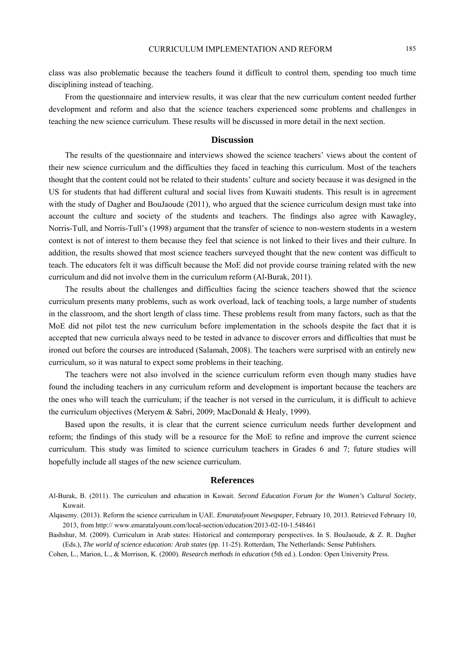class was also problematic because the teachers found it difficult to control them, spending too much time disciplining instead of teaching.

From the questionnaire and interview results, it was clear that the new curriculum content needed further development and reform and also that the science teachers experienced some problems and challenges in teaching the new science curriculum. These results will be discussed in more detail in the next section.

## **Discussion**

The results of the questionnaire and interviews showed the science teachers' views about the content of their new science curriculum and the difficulties they faced in teaching this curriculum. Most of the teachers thought that the content could not be related to their students' culture and society because it was designed in the US for students that had different cultural and social lives from Kuwaiti students. This result is in agreement with the study of Dagher and BouJaoude (2011), who argued that the science curriculum design must take into account the culture and society of the students and teachers. The findings also agree with Kawagley, Norris-Tull, and Norris-Tull's (1998) argument that the transfer of science to non-western students in a western context is not of interest to them because they feel that science is not linked to their lives and their culture. In addition, the results showed that most science teachers surveyed thought that the new content was difficult to teach. The educators felt it was difficult because the MoE did not provide course training related with the new curriculum and did not involve them in the curriculum reform (Al-Burak, 2011).

The results about the challenges and difficulties facing the science teachers showed that the science curriculum presents many problems, such as work overload, lack of teaching tools, a large number of students in the classroom, and the short length of class time. These problems result from many factors, such as that the MoE did not pilot test the new curriculum before implementation in the schools despite the fact that it is accepted that new curricula always need to be tested in advance to discover errors and difficulties that must be ironed out before the courses are introduced (Salamah, 2008). The teachers were surprised with an entirely new curriculum, so it was natural to expect some problems in their teaching.

The teachers were not also involved in the science curriculum reform even though many studies have found the including teachers in any curriculum reform and development is important because the teachers are the ones who will teach the curriculum; if the teacher is not versed in the curriculum, it is difficult to achieve the curriculum objectives (Meryem & Sabri, 2009; MacDonald & Healy, 1999).

Based upon the results, it is clear that the current science curriculum needs further development and reform; the findings of this study will be a resource for the MoE to refine and improve the current science curriculum. This study was limited to science curriculum teachers in Grades 6 and 7; future studies will hopefully include all stages of the new science curriculum.

#### **References**

Al-Burak, B. (2011). The curriculum and education in Kuwait. *Second Education Forum for the Women's Cultural Society*, Kuwait.

Alqasemy. (2013). Reform the science curriculum in UAE. *Emaratalyoum Newspaper*, February 10, 2013. Retrieved February 10, 2013, from http:// www.emaratalyoum.com/local-section/education/2013-02-10-1.548461

Bashshur, M. (2009). Curriculum in Arab states: Historical and contemporary perspectives. In S. BouJaoude, & Z. R. Dagher (Eds.), *The world of science education: Arab states* (pp. 11-25). Rotterdam, The Netherlands: Sense Publishers.

Cohen, L., Marion, L., & Morrison, K. (2000). *Research methods in education* (5th ed.). London: Open University Press.